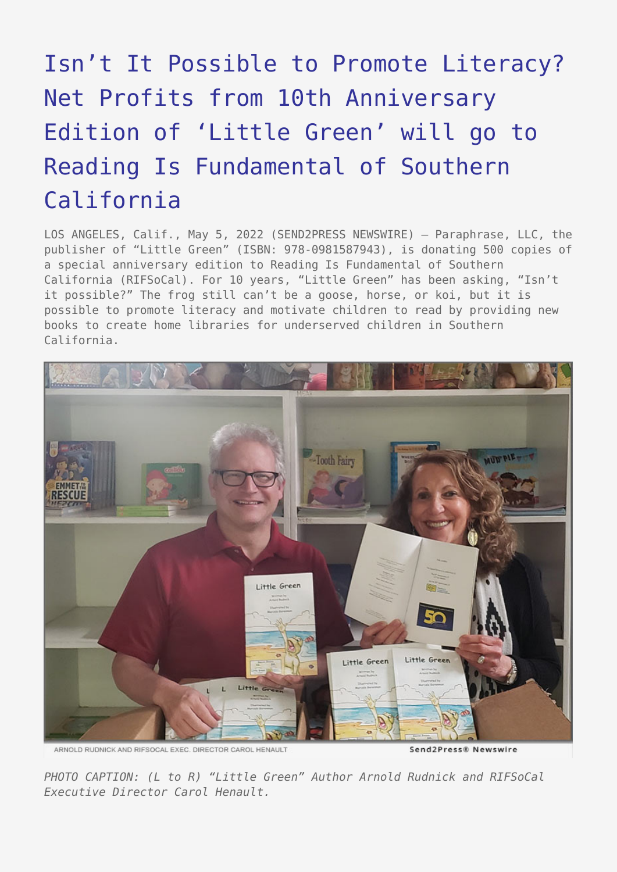## [Isn't It Possible to Promote Literacy?](https://www.send2press.com/wire/isnt-it-possible-to-promote-literacy-net-profits-from-10th-anniversary-edition-of-little-green-will-go-to-reading-is-fundamental-of-southern-california/) [Net Profits from 10th Anniversary](https://www.send2press.com/wire/isnt-it-possible-to-promote-literacy-net-profits-from-10th-anniversary-edition-of-little-green-will-go-to-reading-is-fundamental-of-southern-california/) [Edition of 'Little Green' will go to](https://www.send2press.com/wire/isnt-it-possible-to-promote-literacy-net-profits-from-10th-anniversary-edition-of-little-green-will-go-to-reading-is-fundamental-of-southern-california/) [Reading Is Fundamental of Southern](https://www.send2press.com/wire/isnt-it-possible-to-promote-literacy-net-profits-from-10th-anniversary-edition-of-little-green-will-go-to-reading-is-fundamental-of-southern-california/) [California](https://www.send2press.com/wire/isnt-it-possible-to-promote-literacy-net-profits-from-10th-anniversary-edition-of-little-green-will-go-to-reading-is-fundamental-of-southern-california/)

LOS ANGELES, Calif., May 5, 2022 (SEND2PRESS NEWSWIRE) — Paraphrase, LLC, the publisher of "Little Green" (ISBN: 978-0981587943), is donating 500 copies of a special anniversary edition to Reading Is Fundamental of Southern California (RIFSoCal). For 10 years, "Little Green" has been asking, "Isn't it possible?" The frog still can't be a goose, horse, or koi, but it is possible to promote literacy and motivate children to read by providing new books to create home libraries for underserved children in Southern California.



ARNOLD RUDNICK AND RIFSOCAL EXEC. DIRECTOR CAROL HENAULT

Send2Press® Newswire

*PHOTO CAPTION: (L to R) "Little Green" Author Arnold Rudnick and RIFSoCal Executive Director Carol Henault.*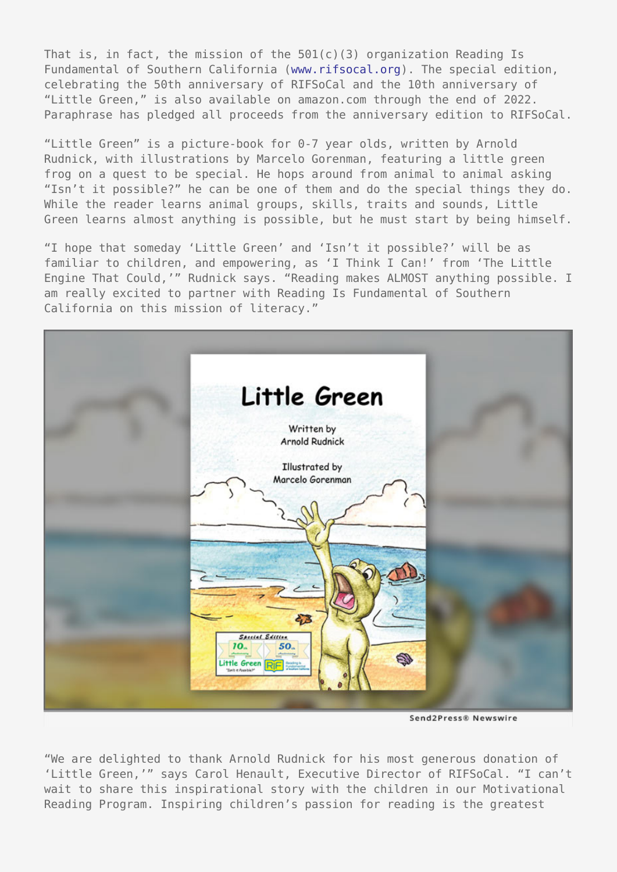That is, in fact, the mission of the 501(c)(3) organization Reading Is Fundamental of Southern California ([www.rifsocal.org\)](https://www.rifsocal.org/). The special edition, celebrating the 50th anniversary of RIFSoCal and the 10th anniversary of "Little Green," is also available on amazon.com through the end of 2022. Paraphrase has pledged all proceeds from the anniversary edition to RIFSoCal.

"Little Green" is a picture-book for 0-7 year olds, written by Arnold Rudnick, with illustrations by Marcelo Gorenman, featuring a little green frog on a quest to be special. He hops around from animal to animal asking "Isn't it possible?" he can be one of them and do the special things they do. While the reader learns animal groups, skills, traits and sounds, Little Green learns almost anything is possible, but he must start by being himself.

"I hope that someday 'Little Green' and 'Isn't it possible?' will be as familiar to children, and empowering, as 'I Think I Can!' from 'The Little Engine That Could,'" Rudnick says. "Reading makes ALMOST anything possible. I am really excited to partner with Reading Is Fundamental of Southern California on this mission of literacy."



Send2Press® Newswire

"We are delighted to thank Arnold Rudnick for his most generous donation of 'Little Green,'" says Carol Henault, Executive Director of RIFSoCal. "I can't wait to share this inspirational story with the children in our Motivational Reading Program. Inspiring children's passion for reading is the greatest